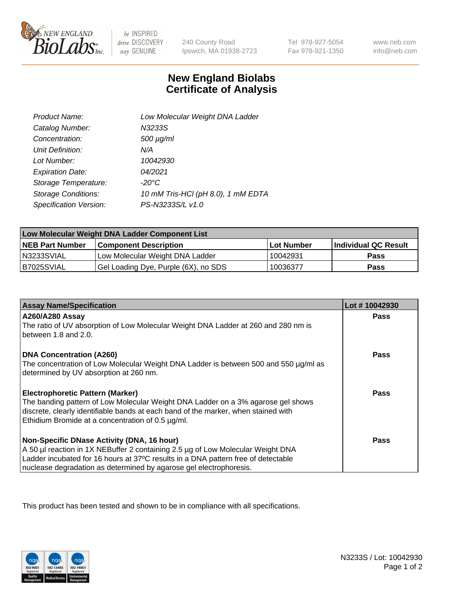

 $be$  INSPIRED drive DISCOVERY stay GENUINE

240 County Road Ipswich, MA 01938-2723

Tel 978-927-5054 Fax 978-921-1350

www.neb.com info@neb.com

## **New England Biolabs Certificate of Analysis**

| Product Name:              | Low Molecular Weight DNA Ladder    |
|----------------------------|------------------------------------|
| Catalog Number:            | N3233S                             |
| Concentration:             | $500 \mu g/ml$                     |
| Unit Definition:           | N/A                                |
| Lot Number:                | 10042930                           |
| <b>Expiration Date:</b>    | 04/2021                            |
| Storage Temperature:       | $-20^{\circ}$ C                    |
| <b>Storage Conditions:</b> | 10 mM Tris-HCl (pH 8.0), 1 mM EDTA |
| Specification Version:     | PS-N3233S/L v1.0                   |

| Low Molecular Weight DNA Ladder Component List |                                      |                   |                      |  |
|------------------------------------------------|--------------------------------------|-------------------|----------------------|--|
| <b>NEB Part Number</b>                         | <b>Component Description</b>         | <b>Lot Number</b> | Individual QC Result |  |
| N3233SVIAL                                     | Low Molecular Weight DNA Ladder      | 10042931          | <b>Pass</b>          |  |
| B7025SVIAL                                     | Gel Loading Dye, Purple (6X), no SDS | 10036377          | <b>Pass</b>          |  |

| <b>Assay Name/Specification</b>                                                                                                         | Lot #10042930 |
|-----------------------------------------------------------------------------------------------------------------------------------------|---------------|
| <b>A260/A280 Assay</b><br>The ratio of UV absorption of Low Molecular Weight DNA Ladder at 260 and 280 nm is                            | <b>Pass</b>   |
| between 1.8 and 2.0.                                                                                                                    |               |
| <b>DNA Concentration (A260)</b>                                                                                                         | Pass          |
| The concentration of Low Molecular Weight DNA Ladder is between 500 and 550 µg/ml as<br>determined by UV absorption at 260 nm.          |               |
| <b>Electrophoretic Pattern (Marker)</b>                                                                                                 | Pass          |
| The banding pattern of Low Molecular Weight DNA Ladder on a 3% agarose gel shows                                                        |               |
| discrete, clearly identifiable bands at each band of the marker, when stained with<br>Ethidium Bromide at a concentration of 0.5 µg/ml. |               |
| Non-Specific DNase Activity (DNA, 16 hour)                                                                                              | Pass          |
| A 50 µl reaction in 1X NEBuffer 2 containing 2.5 µg of Low Molecular Weight DNA                                                         |               |
| Ladder incubated for 16 hours at 37°C results in a DNA pattern free of detectable                                                       |               |
| nuclease degradation as determined by agarose gel electrophoresis.                                                                      |               |

This product has been tested and shown to be in compliance with all specifications.